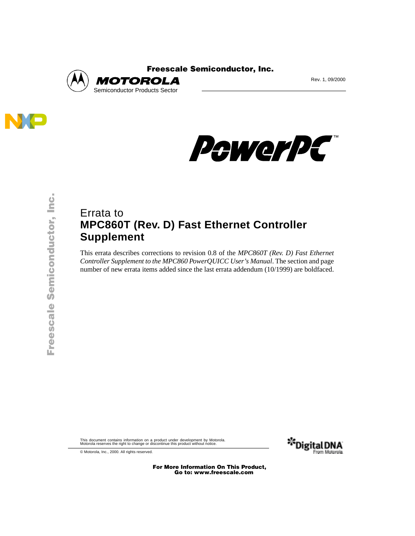



PewerPC

## Errata to **MPC860T (Rev. D) Fast Ethernet Controller Supplement**

This errata describes corrections to revision 0.8 of the *MPC860T (Rev. D) Fast Ethernet Controller Supplement to the MPC860 PowerQUICC User's Manual*. The section and page number of new errata items added since the last errata addendum (10/1999) are boldfaced.

This document contains information on a product under development by Motorola. Motorola reserves the right to change or discontinue this product without notice.



© Motorola, Inc., 2000. All rights reserved.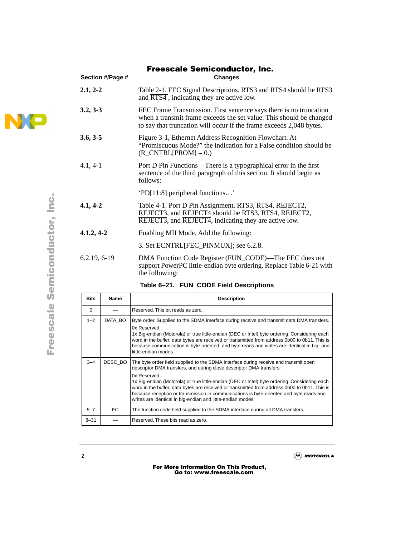## **Section #/Page # Changes 2.1, 2-2** Table 2-1. FEC Signal Descriptions. RTS3 and RTS4 should be RTS3 and RTS4 , indicating they are active low. **3.2, 3-3** FEC Frame Transmission. First sentence says there is no truncation when a transmit frame exceeds the set value. This should be changed to say that truncation will occur if the frame exceeds 2,048 bytes. **3.6, 3-5** Figure 3-1, Ethernet Address Recognition Flowchart. At "Promiscuous Mode?" the indication for a False condition should be  $(R$  CNTRL[PROM] = 0.) 4.1, 4-1 Port D Pin Functions—There is a typographical error in the first sentence of the third paragraph of this section. It should begin as follows: 'PD[11:8] peripheral functions…' **4.1, 4-2** Table 4-1. Port D Pin Assignment. RTS3, RTS4, REJECT2, REJECT3, and REJECT4 should be RTS3, RTS4, REJECT2, REJECT3, and REJECT4, indicating they are active low. **4.1.2, 4-2** Enabling MII Mode. Add the following: 3. Set ECNTRL[FEC\_PINMUX]; see 6.2.8. 6.2.19, 6-19 DMA Function Code Register (FUN\_CODE)—The FEC does not support PowerPC little-endian byte ordering. Replace Table 6-21 with the following:  Freescale Semiconductor, Inc.

|  |  |  |  | Table 6-21. FUN_CODE Field Descriptions |
|--|--|--|--|-----------------------------------------|
|--|--|--|--|-----------------------------------------|

| <b>Bits</b> | Name    | <b>Description</b>                                                                                                                                                                                                                                                                                                                                                                                                                                                                                                                      |
|-------------|---------|-----------------------------------------------------------------------------------------------------------------------------------------------------------------------------------------------------------------------------------------------------------------------------------------------------------------------------------------------------------------------------------------------------------------------------------------------------------------------------------------------------------------------------------------|
| $\Omega$    |         | Reserved. This bit reads as zero.                                                                                                                                                                                                                                                                                                                                                                                                                                                                                                       |
| $1 - 2$     | DATA BO | Byte order. Supplied to the SDMA interface during receive and transmit data DMA transfers.<br>0x Reserved<br>1x Big-endian (Motorola) or true little-endian (DEC or Intel) byte ordering. Considering each<br>word in the buffer, data bytes are received or transmitted from address 0b00 to 0b11. This is<br>because communication is byte-oriented, and byte reads and writes are identical in big- and<br>little-endian modes                                                                                                       |
| $3 - 4$     | DESC BO | The byte order field supplied to the SDMA interface during receive and transmit open<br>descriptor DMA transfers, and during close descriptor DMA transfers.<br>0x Reserved<br>1x Big-endian (Motorola) or true little-endian (DEC or Intel) byte ordering. Considering each<br>word in the buffer, data bytes are received or transmitted from address 0b00 to 0b11. This is<br>because reception or transmission in communications is byte-oriented and byte reads and<br>writes are identical in big-endian and little-endian modes. |
| $5 - 7$     | FC.     | The function code field supplied to the SDMA interface during all DMA transfers.                                                                                                                                                                                                                                                                                                                                                                                                                                                        |
| $8 - 31$    |         | Reserved. These bits read as zero.                                                                                                                                                                                                                                                                                                                                                                                                                                                                                                      |

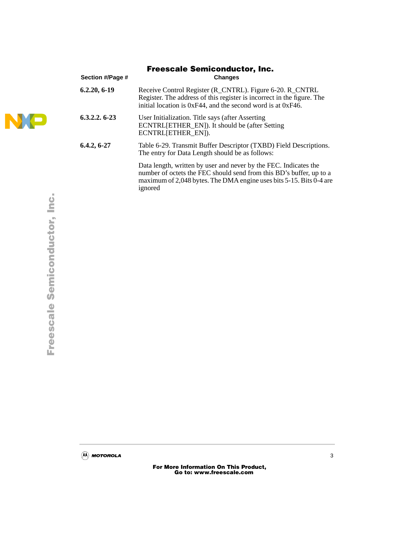| <b>Freescale Semiconductor, Inc.</b> |                                                                                                                                                                                                                           |  |  |  |  |  |
|--------------------------------------|---------------------------------------------------------------------------------------------------------------------------------------------------------------------------------------------------------------------------|--|--|--|--|--|
| Section #/Page #                     | <b>Changes</b>                                                                                                                                                                                                            |  |  |  |  |  |
| $6.2.20, 6-19$                       | Receive Control Register (R_CNTRL). Figure 6-20. R_CNTRL<br>Register. The address of this register is incorrect in the figure. The<br>initial location is 0xF44, and the second word is at 0xF46.                         |  |  |  |  |  |
| $6.3.2.2.6-23$                       | User Initialization. Title says (after Asserting<br>ECNTRL[ETHER_EN]). It should be (after Setting<br>ECNTRL[ETHER EN]).                                                                                                  |  |  |  |  |  |
| $6.4.2, 6-27$                        | Table 6-29. Transmit Buffer Descriptor (TXBD) Field Descriptions.<br>The entry for Data Length should be as follows:                                                                                                      |  |  |  |  |  |
|                                      | Data length, written by user and never by the FEC. Indicates the<br>number of octets the FEC should send from this BD's buffer, up to a<br>maximum of 2,048 bytes. The DMA engine uses bits 5-15. Bits 0-4 are<br>ignored |  |  |  |  |  |

j